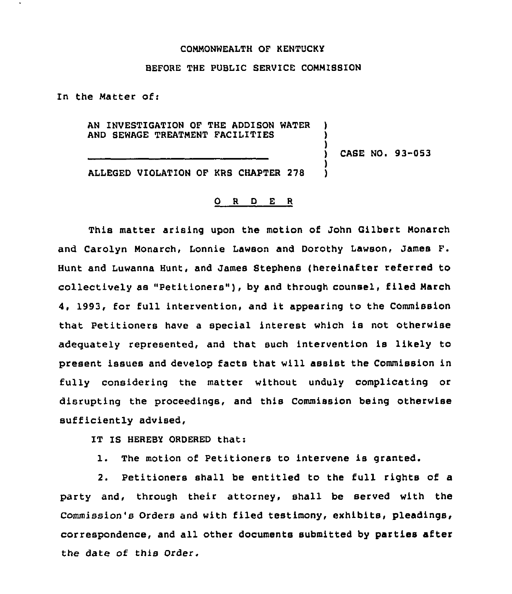## COMMONWEALTH OF KENTUCKY

## BEFORE THE PUBLIC SERVICE COMMISBION

In the Matter of:

AN INVESTIGATION OF THE ADDISON WATER AND SEWAGE TREATMENT FACILITIES

) CASE NO <sup>~</sup> 93-053

) ) )

> ) )

ALLEGED VIOLATION OF KRS CHAPTER 278

## 0 R <sup>D</sup> E <sup>R</sup>

This matter arising upon the motion of John Gilbert Monarch and Carolyn Monarch, Lonnie Lawson and Dorothy Lawson, James F. Hunt and Luwanna Hunt, and James Stephens (hereinafter referred to collectively as "Petitioners" ), by and through counsel, filed March 4, 1993, for full intervention, and it appearing to the Commission that Petitioners have a special interest which is not otherwise adequately represented, and that such intervention is likely to present issues and develop facts that will assist the Commission in fully considering the matter without unduly complicating or disrupting the proceedings, and this Commission being otherwise sufficiently advised,

IT IS HEREBY ORDERED that:

1. The motion of Petitioners to intervene is granted.

2. Petitioners shall be entitled to the full rights of a party and, through their attorney, shall be served with the Commission's Orders and with filed testimony, exhibits, pleadings, correspondence, and all other documents submitted by parties after the date of this Order.